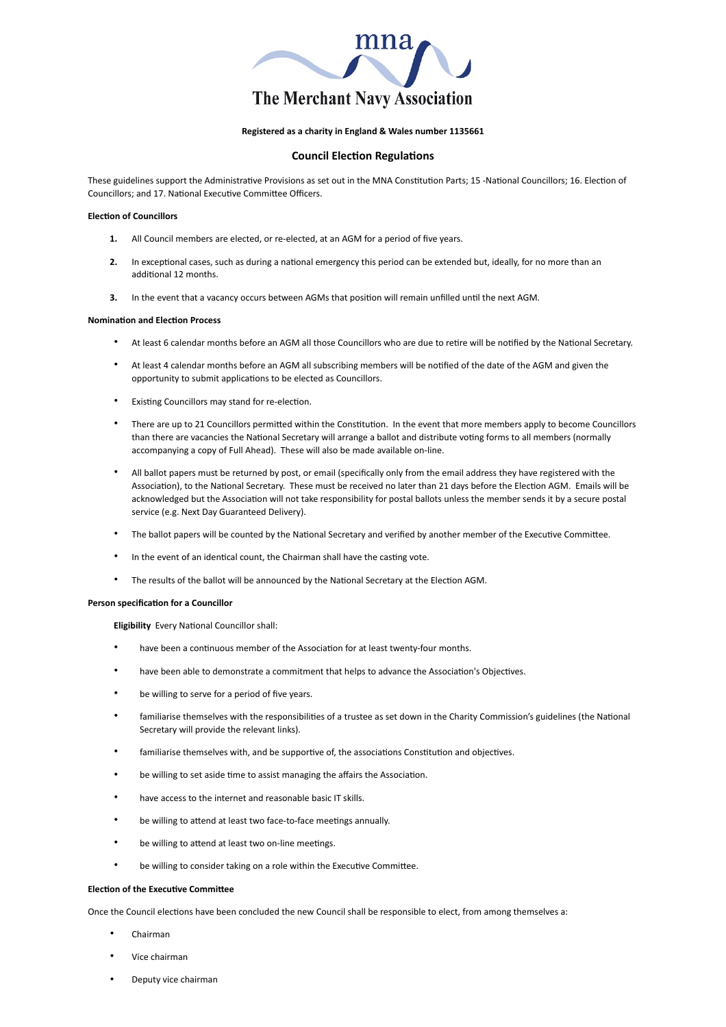

# **Registered as a charity in England & Wales number 1135661**

## **Council Election Regulations**

These guidelines support the Administrative Provisions as set out in the MNA Constitution Parts; 15 -National Councillors; 16. Election of Councillors; and 17. National Executive Committee Officers.

### **Election of Councillors**

- **1.** All Council members are elected, or re-elected, at an AGM for a period of five years.
- **2.** In exceptional cases, such as during a national emergency this period can be extended but, ideally, for no more than an additional 12 months.
- **3.** In the event that a vacancy occurs between AGMs that position will remain unfilled until the next AGM.

#### **Nomination and Election Process**

- At least 6 calendar months before an AGM all those Councillors who are due to retire will be notified by the National Secretary.
- At least 4 calendar months before an AGM all subscribing members will be notified of the date of the AGM and given the opportunity to submit applications to be elected as Councillors.
- Existing Councillors may stand for re-election.
- There are up to 21 Councillors permitted within the Constitution. In the event that more members apply to become Councillors than there are vacancies the National Secretary will arrange a ballot and distribute voting forms to all members (normally accompanying a copy of Full Ahead). These will also be made available on-line.
- All ballot papers must be returned by post, or email (specifically only from the email address they have registered with the Association), to the National Secretary. These must be received no later than 21 days before the Election AGM. Emails will be acknowledged but the Association will not take responsibility for postal ballots unless the member sends it by a secure postal service (e.g. Next Day Guaranteed Delivery).
- The ballot papers will be counted by the National Secretary and verified by another member of the Executive Committee.
- In the event of an identical count, the Chairman shall have the casting vote.
- The results of the ballot will be announced by the National Secretary at the Election AGM.

## **Person specification for a Councillor**

**Eligibility** Every National Councillor shall:

- have been a continuous member of the Association for at least twenty-four months.
- have been able to demonstrate a commitment that helps to advance the Association's Objectives.
- be willing to serve for a period of five years.
- familiarise themselves with the responsibilities of a trustee as set down in the Charity Commission's guidelines (the National Secretary will provide the relevant links).
- familiarise themselves with, and be supportive of, the associations Constitution and objectives.
- be willing to set aside time to assist managing the affairs the Association.
- have access to the internet and reasonable basic IT skills.
- be willing to attend at least two face-to-face meetings annually.
- be willing to attend at least two on-line meetings.
- be willing to consider taking on a role within the Executive Committee.

## **Election of the Executive Committee**

Once the Council elections have been concluded the new Council shall be responsible to elect, from among themselves a:

- Chairman
- Vice chairman
- Deputy vice chairman